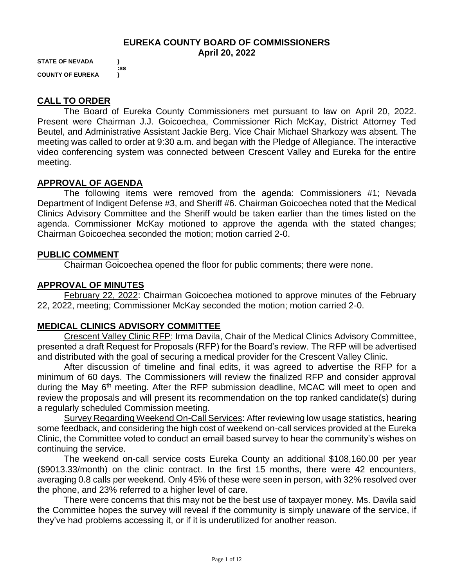## **EUREKA COUNTY BOARD OF COMMISSIONERS April 20, 2022**

**STATE OF NEVADA ) :ss COUNTY OF EUREKA )**

# **CALL TO ORDER**

The Board of Eureka County Commissioners met pursuant to law on April 20, 2022. Present were Chairman J.J. Goicoechea, Commissioner Rich McKay, District Attorney Ted Beutel, and Administrative Assistant Jackie Berg. Vice Chair Michael Sharkozy was absent. The meeting was called to order at 9:30 a.m. and began with the Pledge of Allegiance. The interactive video conferencing system was connected between Crescent Valley and Eureka for the entire meeting.

#### **APPROVAL OF AGENDA**

The following items were removed from the agenda: Commissioners #1; Nevada Department of Indigent Defense #3, and Sheriff #6. Chairman Goicoechea noted that the Medical Clinics Advisory Committee and the Sheriff would be taken earlier than the times listed on the agenda. Commissioner McKay motioned to approve the agenda with the stated changes; Chairman Goicoechea seconded the motion; motion carried 2-0.

#### **PUBLIC COMMENT**

Chairman Goicoechea opened the floor for public comments; there were none.

### **APPROVAL OF MINUTES**

February 22, 2022: Chairman Goicoechea motioned to approve minutes of the February 22, 2022, meeting; Commissioner McKay seconded the motion; motion carried 2-0.

### **MEDICAL CLINICS ADVISORY COMMITTEE**

Crescent Valley Clinic RFP: Irma Davila, Chair of the Medical Clinics Advisory Committee, presented a draft Request for Proposals (RFP) for the Board's review. The RFP will be advertised and distributed with the goal of securing a medical provider for the Crescent Valley Clinic.

After discussion of timeline and final edits, it was agreed to advertise the RFP for a minimum of 60 days. The Commissioners will review the finalized RFP and consider approval during the May 6<sup>th</sup> meeting. After the RFP submission deadline, MCAC will meet to open and review the proposals and will present its recommendation on the top ranked candidate(s) during a regularly scheduled Commission meeting.

Survey Regarding Weekend On-Call Services: After reviewing low usage statistics, hearing some feedback, and considering the high cost of weekend on-call services provided at the Eureka Clinic, the Committee voted to conduct an email based survey to hear the community's wishes on continuing the service.

The weekend on-call service costs Eureka County an additional \$108,160.00 per year (\$9013.33/month) on the clinic contract. In the first 15 months, there were 42 encounters, averaging 0.8 calls per weekend. Only 45% of these were seen in person, with 32% resolved over the phone, and 23% referred to a higher level of care.

There were concerns that this may not be the best use of taxpayer money. Ms. Davila said the Committee hopes the survey will reveal if the community is simply unaware of the service, if they've had problems accessing it, or if it is underutilized for another reason.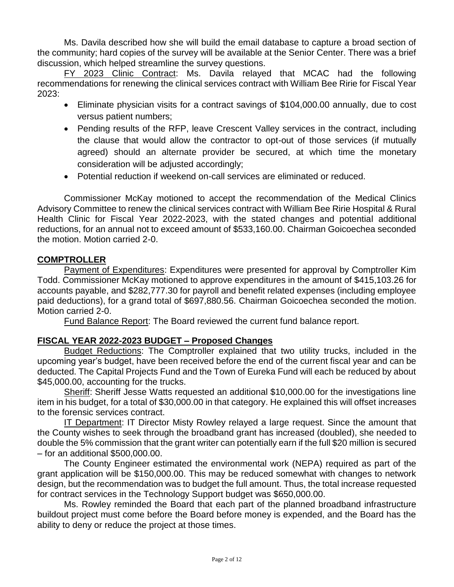Ms. Davila described how she will build the email database to capture a broad section of the community; hard copies of the survey will be available at the Senior Center. There was a brief discussion, which helped streamline the survey questions.

FY 2023 Clinic Contract: Ms. Davila relayed that MCAC had the following recommendations for renewing the clinical services contract with William Bee Ririe for Fiscal Year 2023:

- Eliminate physician visits for a contract savings of \$104,000.00 annually, due to cost versus patient numbers;
- Pending results of the RFP, leave Crescent Valley services in the contract, including the clause that would allow the contractor to opt-out of those services (if mutually agreed) should an alternate provider be secured, at which time the monetary consideration will be adjusted accordingly;
- Potential reduction if weekend on-call services are eliminated or reduced.

Commissioner McKay motioned to accept the recommendation of the Medical Clinics Advisory Committee to renew the clinical services contract with William Bee Ririe Hospital & Rural Health Clinic for Fiscal Year 2022-2023, with the stated changes and potential additional reductions, for an annual not to exceed amount of \$533,160.00. Chairman Goicoechea seconded the motion. Motion carried 2-0.

# **COMPTROLLER**

Payment of Expenditures: Expenditures were presented for approval by Comptroller Kim Todd. Commissioner McKay motioned to approve expenditures in the amount of \$415,103.26 for accounts payable, and \$282,777.30 for payroll and benefit related expenses (including employee paid deductions), for a grand total of \$697,880.56. Chairman Goicoechea seconded the motion. Motion carried 2-0.

Fund Balance Report: The Board reviewed the current fund balance report.

# **FISCAL YEAR 2022-2023 BUDGET – Proposed Changes**

Budget Reductions: The Comptroller explained that two utility trucks, included in the upcoming year's budget, have been received before the end of the current fiscal year and can be deducted. The Capital Projects Fund and the Town of Eureka Fund will each be reduced by about \$45,000.00, accounting for the trucks.

Sheriff: Sheriff Jesse Watts requested an additional \$10,000.00 for the investigations line item in his budget, for a total of \$30,000.00 in that category. He explained this will offset increases to the forensic services contract.

IT Department: IT Director Misty Rowley relayed a large request. Since the amount that the County wishes to seek through the broadband grant has increased (doubled), she needed to double the 5% commission that the grant writer can potentially earn if the full \$20 million is secured – for an additional \$500,000.00.

The County Engineer estimated the environmental work (NEPA) required as part of the grant application will be \$150,000.00. This may be reduced somewhat with changes to network design, but the recommendation was to budget the full amount. Thus, the total increase requested for contract services in the Technology Support budget was \$650,000.00.

Ms. Rowley reminded the Board that each part of the planned broadband infrastructure buildout project must come before the Board before money is expended, and the Board has the ability to deny or reduce the project at those times.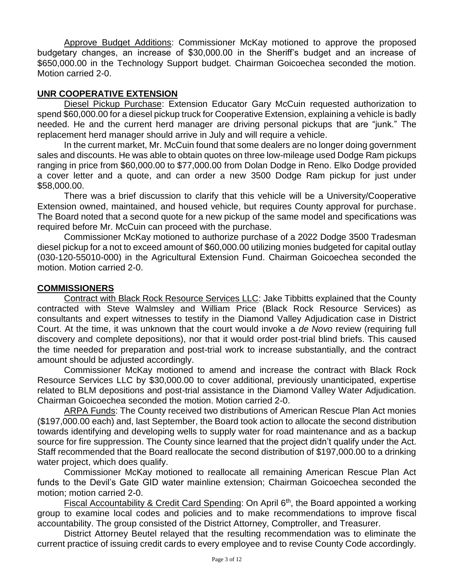Approve Budget Additions: Commissioner McKay motioned to approve the proposed budgetary changes, an increase of \$30,000.00 in the Sheriff's budget and an increase of \$650,000.00 in the Technology Support budget. Chairman Goicoechea seconded the motion. Motion carried 2-0.

# **UNR COOPERATIVE EXTENSION**

Diesel Pickup Purchase: Extension Educator Gary McCuin requested authorization to spend \$60,000.00 for a diesel pickup truck for Cooperative Extension, explaining a vehicle is badly needed. He and the current herd manager are driving personal pickups that are "junk." The replacement herd manager should arrive in July and will require a vehicle.

In the current market, Mr. McCuin found that some dealers are no longer doing government sales and discounts. He was able to obtain quotes on three low-mileage used Dodge Ram pickups ranging in price from \$60,000.00 to \$77,000.00 from Dolan Dodge in Reno. Elko Dodge provided a cover letter and a quote, and can order a new 3500 Dodge Ram pickup for just under \$58,000.00.

There was a brief discussion to clarify that this vehicle will be a University/Cooperative Extension owned, maintained, and housed vehicle, but requires County approval for purchase. The Board noted that a second quote for a new pickup of the same model and specifications was required before Mr. McCuin can proceed with the purchase.

Commissioner McKay motioned to authorize purchase of a 2022 Dodge 3500 Tradesman diesel pickup for a not to exceed amount of \$60,000.00 utilizing monies budgeted for capital outlay (030-120-55010-000) in the Agricultural Extension Fund. Chairman Goicoechea seconded the motion. Motion carried 2-0.

#### **COMMISSIONERS**

Contract with Black Rock Resource Services LLC: Jake Tibbitts explained that the County contracted with Steve Walmsley and William Price (Black Rock Resource Services) as consultants and expert witnesses to testify in the Diamond Valley Adjudication case in District Court. At the time, it was unknown that the court would invoke a *de Novo* review (requiring full discovery and complete depositions), nor that it would order post-trial blind briefs. This caused the time needed for preparation and post-trial work to increase substantially, and the contract amount should be adjusted accordingly.

Commissioner McKay motioned to amend and increase the contract with Black Rock Resource Services LLC by \$30,000.00 to cover additional, previously unanticipated, expertise related to BLM depositions and post-trial assistance in the Diamond Valley Water Adjudication. Chairman Goicoechea seconded the motion. Motion carried 2-0.

ARPA Funds: The County received two distributions of American Rescue Plan Act monies (\$197,000.00 each) and, last September, the Board took action to allocate the second distribution towards identifying and developing wells to supply water for road maintenance and as a backup source for fire suppression. The County since learned that the project didn't qualify under the Act. Staff recommended that the Board reallocate the second distribution of \$197,000.00 to a drinking water project, which does qualify.

Commissioner McKay motioned to reallocate all remaining American Rescue Plan Act funds to the Devil's Gate GID water mainline extension; Chairman Goicoechea seconded the motion; motion carried 2-0.

Fiscal Accountability & Credit Card Spending: On April 6<sup>th</sup>, the Board appointed a working group to examine local codes and policies and to make recommendations to improve fiscal accountability. The group consisted of the District Attorney, Comptroller, and Treasurer.

District Attorney Beutel relayed that the resulting recommendation was to eliminate the current practice of issuing credit cards to every employee and to revise County Code accordingly.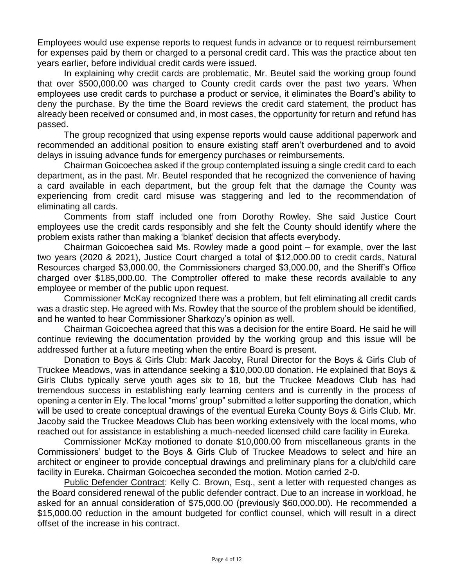Employees would use expense reports to request funds in advance or to request reimbursement for expenses paid by them or charged to a personal credit card. This was the practice about ten years earlier, before individual credit cards were issued.

In explaining why credit cards are problematic, Mr. Beutel said the working group found that over \$500,000.00 was charged to County credit cards over the past two years. When employees use credit cards to purchase a product or service, it eliminates the Board's ability to deny the purchase. By the time the Board reviews the credit card statement, the product has already been received or consumed and, in most cases, the opportunity for return and refund has passed.

The group recognized that using expense reports would cause additional paperwork and recommended an additional position to ensure existing staff aren't overburdened and to avoid delays in issuing advance funds for emergency purchases or reimbursements.

Chairman Goicoechea asked if the group contemplated issuing a single credit card to each department, as in the past. Mr. Beutel responded that he recognized the convenience of having a card available in each department, but the group felt that the damage the County was experiencing from credit card misuse was staggering and led to the recommendation of eliminating all cards.

Comments from staff included one from Dorothy Rowley. She said Justice Court employees use the credit cards responsibly and she felt the County should identify where the problem exists rather than making a 'blanket' decision that affects everybody.

Chairman Goicoechea said Ms. Rowley made a good point – for example, over the last two years (2020 & 2021), Justice Court charged a total of \$12,000.00 to credit cards, Natural Resources charged \$3,000.00, the Commissioners charged \$3,000.00, and the Sheriff's Office charged over \$185,000.00. The Comptroller offered to make these records available to any employee or member of the public upon request.

Commissioner McKay recognized there was a problem, but felt eliminating all credit cards was a drastic step. He agreed with Ms. Rowley that the source of the problem should be identified, and he wanted to hear Commissioner Sharkozy's opinion as well.

Chairman Goicoechea agreed that this was a decision for the entire Board. He said he will continue reviewing the documentation provided by the working group and this issue will be addressed further at a future meeting when the entire Board is present.

Donation to Boys & Girls Club: Mark Jacoby, Rural Director for the Boys & Girls Club of Truckee Meadows, was in attendance seeking a \$10,000.00 donation. He explained that Boys & Girls Clubs typically serve youth ages six to 18, but the Truckee Meadows Club has had tremendous success in establishing early learning centers and is currently in the process of opening a center in Ely. The local "moms' group" submitted a letter supporting the donation, which will be used to create conceptual drawings of the eventual Eureka County Boys & Girls Club. Mr. Jacoby said the Truckee Meadows Club has been working extensively with the local moms, who reached out for assistance in establishing a much-needed licensed child care facility in Eureka.

Commissioner McKay motioned to donate \$10,000.00 from miscellaneous grants in the Commissioners' budget to the Boys & Girls Club of Truckee Meadows to select and hire an architect or engineer to provide conceptual drawings and preliminary plans for a club/child care facility in Eureka. Chairman Goicoechea seconded the motion. Motion carried 2-0.

Public Defender Contract: Kelly C. Brown, Esq., sent a letter with requested changes as the Board considered renewal of the public defender contract. Due to an increase in workload, he asked for an annual consideration of \$75,000.00 (previously \$60,000.00). He recommended a \$15,000.00 reduction in the amount budgeted for conflict counsel, which will result in a direct offset of the increase in his contract.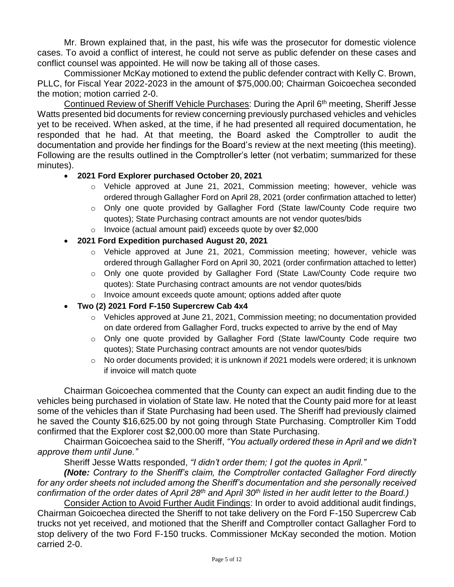Mr. Brown explained that, in the past, his wife was the prosecutor for domestic violence cases. To avoid a conflict of interest, he could not serve as public defender on these cases and conflict counsel was appointed. He will now be taking all of those cases.

Commissioner McKay motioned to extend the public defender contract with Kelly C. Brown, PLLC, for Fiscal Year 2022-2023 in the amount of \$75,000.00; Chairman Goicoechea seconded the motion; motion carried 2-0.

Continued Review of Sheriff Vehicle Purchases: During the April 6th meeting, Sheriff Jesse Watts presented bid documents for review concerning previously purchased vehicles and vehicles yet to be received. When asked, at the time, if he had presented all required documentation, he responded that he had. At that meeting, the Board asked the Comptroller to audit the documentation and provide her findings for the Board's review at the next meeting (this meeting). Following are the results outlined in the Comptroller's letter (not verbatim; summarized for these minutes).

### • **2021 Ford Explorer purchased October 20, 2021**

- $\circ$  Vehicle approved at June 21, 2021, Commission meeting; however, vehicle was ordered through Gallagher Ford on April 28, 2021 (order confirmation attached to letter)
- o Only one quote provided by Gallagher Ford (State law/County Code require two quotes); State Purchasing contract amounts are not vendor quotes/bids
- o Invoice (actual amount paid) exceeds quote by over \$2,000
- **2021 Ford Expedition purchased August 20, 2021**
	- $\circ$  Vehicle approved at June 21, 2021, Commission meeting; however, vehicle was ordered through Gallagher Ford on April 30, 2021 (order confirmation attached to letter)
	- o Only one quote provided by Gallagher Ford (State Law/County Code require two quotes): State Purchasing contract amounts are not vendor quotes/bids
	- o Invoice amount exceeds quote amount; options added after quote
- **Two (2) 2021 Ford F-150 Supercrew Cab 4x4**
	- $\circ$  Vehicles approved at June 21, 2021, Commission meeting; no documentation provided on date ordered from Gallagher Ford, trucks expected to arrive by the end of May
	- o Only one quote provided by Gallagher Ford (State law/County Code require two quotes); State Purchasing contract amounts are not vendor quotes/bids
	- $\circ$  No order documents provided; it is unknown if 2021 models were ordered; it is unknown if invoice will match quote

Chairman Goicoechea commented that the County can expect an audit finding due to the vehicles being purchased in violation of State law. He noted that the County paid more for at least some of the vehicles than if State Purchasing had been used. The Sheriff had previously claimed he saved the County \$16,625.00 by not going through State Purchasing. Comptroller Kim Todd confirmed that the Explorer cost \$2,000.00 more than State Purchasing.

Chairman Goicoechea said to the Sheriff, *"You actually ordered these in April and we didn't approve them until June."*

Sheriff Jesse Watts responded, *"I didn't order them; I got the quotes in April."* 

*(Note: Contrary to the Sheriff's claim, the Comptroller contacted Gallagher Ford directly for any order sheets not included among the Sheriff's documentation and she personally received confirmation of the order dates of April 28th and April 30th listed in her audit letter to the Board.)*

Consider Action to Avoid Further Audit Findings: In order to avoid additional audit findings, Chairman Goicoechea directed the Sheriff to not take delivery on the Ford F-150 Supercrew Cab trucks not yet received, and motioned that the Sheriff and Comptroller contact Gallagher Ford to stop delivery of the two Ford F-150 trucks. Commissioner McKay seconded the motion. Motion carried 2-0.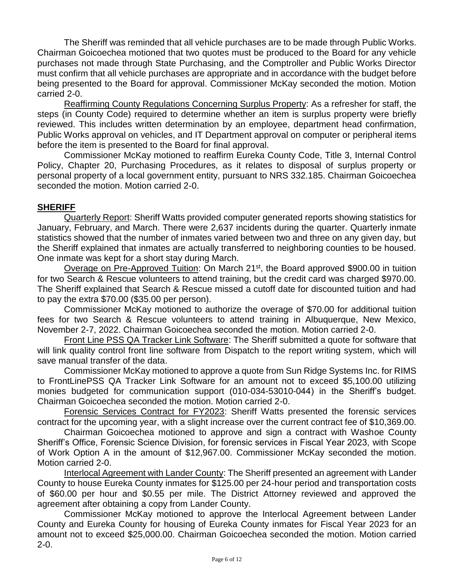The Sheriff was reminded that all vehicle purchases are to be made through Public Works. Chairman Goicoechea motioned that two quotes must be produced to the Board for any vehicle purchases not made through State Purchasing, and the Comptroller and Public Works Director must confirm that all vehicle purchases are appropriate and in accordance with the budget before being presented to the Board for approval. Commissioner McKay seconded the motion. Motion carried 2-0.

Reaffirming County Regulations Concerning Surplus Property: As a refresher for staff, the steps (in County Code) required to determine whether an item is surplus property were briefly reviewed. This includes written determination by an employee, department head confirmation, Public Works approval on vehicles, and IT Department approval on computer or peripheral items before the item is presented to the Board for final approval.

Commissioner McKay motioned to reaffirm Eureka County Code, Title 3, Internal Control Policy, Chapter 20, Purchasing Procedures, as it relates to disposal of surplus property or personal property of a local government entity, pursuant to NRS 332.185. Chairman Goicoechea seconded the motion. Motion carried 2-0.

### **SHERIFF**

Quarterly Report: Sheriff Watts provided computer generated reports showing statistics for January, February, and March. There were 2,637 incidents during the quarter. Quarterly inmate statistics showed that the number of inmates varied between two and three on any given day, but the Sheriff explained that inmates are actually transferred to neighboring counties to be housed. One inmate was kept for a short stay during March.

Overage on Pre-Approved Tuition: On March 21<sup>st</sup>, the Board approved \$900.00 in tuition for two Search & Rescue volunteers to attend training, but the credit card was charged \$970.00. The Sheriff explained that Search & Rescue missed a cutoff date for discounted tuition and had to pay the extra \$70.00 (\$35.00 per person).

Commissioner McKay motioned to authorize the overage of \$70.00 for additional tuition fees for two Search & Rescue volunteers to attend training in Albuquerque, New Mexico, November 2-7, 2022. Chairman Goicoechea seconded the motion. Motion carried 2-0.

Front Line PSS QA Tracker Link Software: The Sheriff submitted a quote for software that will link quality control front line software from Dispatch to the report writing system, which will save manual transfer of the data.

Commissioner McKay motioned to approve a quote from Sun Ridge Systems Inc. for RIMS to FrontLinePSS QA Tracker Link Software for an amount not to exceed \$5,100.00 utilizing monies budgeted for communication support (010-034-53010-044) in the Sheriff's budget. Chairman Goicoechea seconded the motion. Motion carried 2-0.

Forensic Services Contract for FY2023: Sheriff Watts presented the forensic services contract for the upcoming year, with a slight increase over the current contract fee of \$10,369.00.

Chairman Goicoechea motioned to approve and sign a contract with Washoe County Sheriff's Office, Forensic Science Division, for forensic services in Fiscal Year 2023, with Scope of Work Option A in the amount of \$12,967.00. Commissioner McKay seconded the motion. Motion carried 2-0.

Interlocal Agreement with Lander County: The Sheriff presented an agreement with Lander County to house Eureka County inmates for \$125.00 per 24-hour period and transportation costs of \$60.00 per hour and \$0.55 per mile. The District Attorney reviewed and approved the agreement after obtaining a copy from Lander County.

Commissioner McKay motioned to approve the Interlocal Agreement between Lander County and Eureka County for housing of Eureka County inmates for Fiscal Year 2023 for an amount not to exceed \$25,000.00. Chairman Goicoechea seconded the motion. Motion carried 2-0.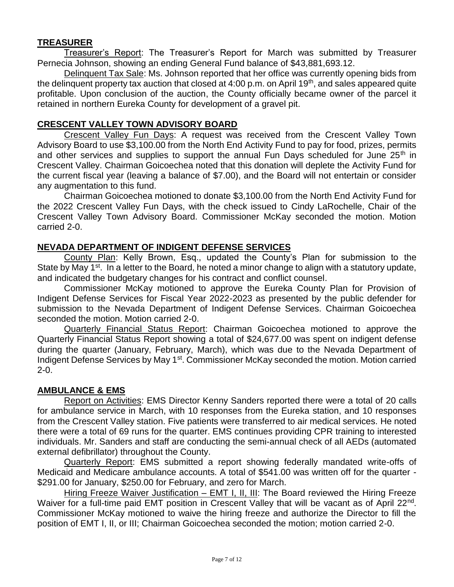# **TREASURER**

Treasurer's Report: The Treasurer's Report for March was submitted by Treasurer Pernecia Johnson, showing an ending General Fund balance of \$43,881,693.12.

Delinquent Tax Sale: Ms. Johnson reported that her office was currently opening bids from the delinquent property tax auction that closed at 4:00 p.m. on April 19<sup>th</sup>, and sales appeared quite profitable. Upon conclusion of the auction, the County officially became owner of the parcel it retained in northern Eureka County for development of a gravel pit.

# **CRESCENT VALLEY TOWN ADVISORY BOARD**

Crescent Valley Fun Days: A request was received from the Crescent Valley Town Advisory Board to use \$3,100.00 from the North End Activity Fund to pay for food, prizes, permits and other services and supplies to support the annual Fun Days scheduled for June 25<sup>th</sup> in Crescent Valley. Chairman Goicoechea noted that this donation will deplete the Activity Fund for the current fiscal year (leaving a balance of \$7.00), and the Board will not entertain or consider any augmentation to this fund.

Chairman Goicoechea motioned to donate \$3,100.00 from the North End Activity Fund for the 2022 Crescent Valley Fun Days, with the check issued to Cindy LaRochelle, Chair of the Crescent Valley Town Advisory Board. Commissioner McKay seconded the motion. Motion carried 2-0.

### **NEVADA DEPARTMENT OF INDIGENT DEFENSE SERVICES**

County Plan: Kelly Brown, Esq., updated the County's Plan for submission to the State by May 1<sup>st</sup>. In a letter to the Board, he noted a minor change to align with a statutory update, and indicated the budgetary changes for his contract and conflict counsel.

Commissioner McKay motioned to approve the Eureka County Plan for Provision of Indigent Defense Services for Fiscal Year 2022-2023 as presented by the public defender for submission to the Nevada Department of Indigent Defense Services. Chairman Goicoechea seconded the motion. Motion carried 2-0.

Quarterly Financial Status Report: Chairman Goicoechea motioned to approve the Quarterly Financial Status Report showing a total of \$24,677.00 was spent on indigent defense during the quarter (January, February, March), which was due to the Nevada Department of Indigent Defense Services by May 1st. Commissioner McKay seconded the motion. Motion carried 2-0.

### **AMBULANCE & EMS**

Report on Activities: EMS Director Kenny Sanders reported there were a total of 20 calls for ambulance service in March, with 10 responses from the Eureka station, and 10 responses from the Crescent Valley station. Five patients were transferred to air medical services. He noted there were a total of 69 runs for the quarter. EMS continues providing CPR training to interested individuals. Mr. Sanders and staff are conducting the semi-annual check of all AEDs (automated external defibrillator) throughout the County.

Quarterly Report: EMS submitted a report showing federally mandated write-offs of Medicaid and Medicare ambulance accounts. A total of \$541.00 was written off for the quarter - \$291.00 for January, \$250.00 for February, and zero for March.

Hiring Freeze Waiver Justification – EMT I, II, III: The Board reviewed the Hiring Freeze Waiver for a full-time paid EMT position in Crescent Valley that will be vacant as of April 22<sup>nd</sup>. Commissioner McKay motioned to waive the hiring freeze and authorize the Director to fill the position of EMT I, II, or III; Chairman Goicoechea seconded the motion; motion carried 2-0.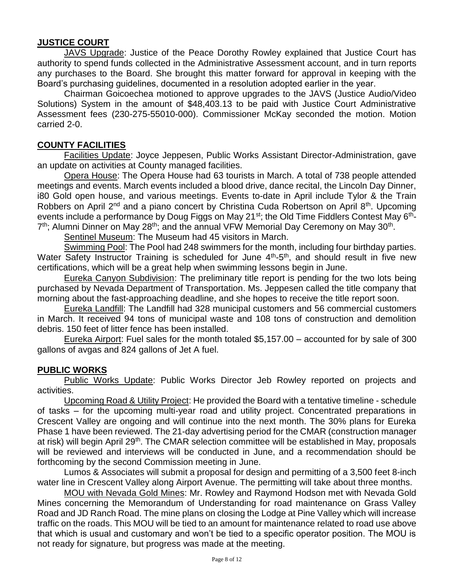# **JUSTICE COURT**

JAVS Upgrade: Justice of the Peace Dorothy Rowley explained that Justice Court has authority to spend funds collected in the Administrative Assessment account, and in turn reports any purchases to the Board. She brought this matter forward for approval in keeping with the Board's purchasing guidelines, documented in a resolution adopted earlier in the year.

Chairman Goicoechea motioned to approve upgrades to the JAVS (Justice Audio/Video Solutions) System in the amount of \$48,403.13 to be paid with Justice Court Administrative Assessment fees (230-275-55010-000). Commissioner McKay seconded the motion. Motion carried 2-0.

#### **COUNTY FACILITIES**

Facilities Update: Joyce Jeppesen, Public Works Assistant Director-Administration, gave an update on activities at County managed facilities.

Opera House: The Opera House had 63 tourists in March. A total of 738 people attended meetings and events. March events included a blood drive, dance recital, the Lincoln Day Dinner, i80 Gold open house, and various meetings. Events to-date in April include Tylor & the Train Robbers on April 2<sup>nd</sup> and a piano concert by Christina Cuda Robertson on April 8<sup>th</sup>. Upcoming events include a performance by Doug Figgs on May 21<sup>st</sup>; the Old Time Fiddlers Contest May 6<sup>th</sup>-7<sup>th</sup>; Alumni Dinner on May 28<sup>th</sup>; and the annual VFW Memorial Day Ceremony on May 30<sup>th</sup>.

Sentinel Museum: The Museum had 45 visitors in March.

Swimming Pool: The Pool had 248 swimmers for the month, including four birthday parties. Water Safety Instructor Training is scheduled for June 4<sup>th</sup>-5<sup>th</sup>, and should result in five new certifications, which will be a great help when swimming lessons begin in June.

Eureka Canyon Subdivision: The preliminary title report is pending for the two lots being purchased by Nevada Department of Transportation. Ms. Jeppesen called the title company that morning about the fast-approaching deadline, and she hopes to receive the title report soon.

Eureka Landfill: The Landfill had 328 municipal customers and 56 commercial customers in March. It received 94 tons of municipal waste and 108 tons of construction and demolition debris. 150 feet of litter fence has been installed.

Eureka Airport: Fuel sales for the month totaled \$5,157.00 – accounted for by sale of 300 gallons of avgas and 824 gallons of Jet A fuel.

### **PUBLIC WORKS**

Public Works Update: Public Works Director Jeb Rowley reported on projects and activities.

Upcoming Road & Utility Project: He provided the Board with a tentative timeline - schedule of tasks – for the upcoming multi-year road and utility project. Concentrated preparations in Crescent Valley are ongoing and will continue into the next month. The 30% plans for Eureka Phase 1 have been reviewed. The 21-day advertising period for the CMAR (construction manager at risk) will begin April 29<sup>th</sup>. The CMAR selection committee will be established in May, proposals will be reviewed and interviews will be conducted in June, and a recommendation should be forthcoming by the second Commission meeting in June.

Lumos & Associates will submit a proposal for design and permitting of a 3,500 feet 8-inch water line in Crescent Valley along Airport Avenue. The permitting will take about three months.

MOU with Nevada Gold Mines: Mr. Rowley and Raymond Hodson met with Nevada Gold Mines concerning the Memorandum of Understanding for road maintenance on Grass Valley Road and JD Ranch Road. The mine plans on closing the Lodge at Pine Valley which will increase traffic on the roads. This MOU will be tied to an amount for maintenance related to road use above that which is usual and customary and won't be tied to a specific operator position. The MOU is not ready for signature, but progress was made at the meeting.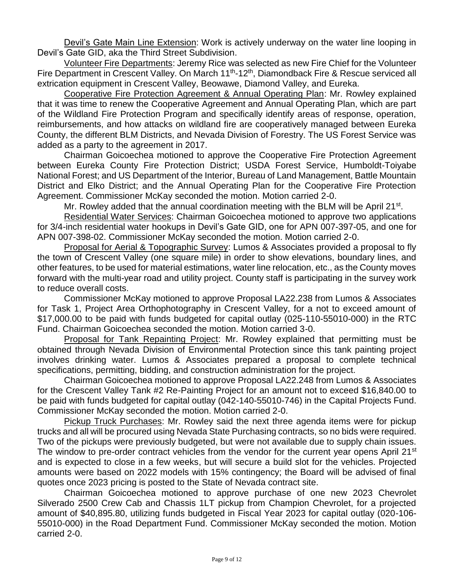Devil's Gate Main Line Extension: Work is actively underway on the water line looping in Devil's Gate GID, aka the Third Street Subdivision.

Volunteer Fire Departments: Jeremy Rice was selected as new Fire Chief for the Volunteer Fire Department in Crescent Valley. On March 11<sup>th</sup>-12<sup>th</sup>, Diamondback Fire & Rescue serviced all extrication equipment in Crescent Valley, Beowawe, Diamond Valley, and Eureka.

Cooperative Fire Protection Agreement & Annual Operating Plan: Mr. Rowley explained that it was time to renew the Cooperative Agreement and Annual Operating Plan, which are part of the Wildland Fire Protection Program and specifically identify areas of response, operation, reimbursements, and how attacks on wildland fire are cooperatively managed between Eureka County, the different BLM Districts, and Nevada Division of Forestry. The US Forest Service was added as a party to the agreement in 2017.

Chairman Goicoechea motioned to approve the Cooperative Fire Protection Agreement between Eureka County Fire Protection District; USDA Forest Service, Humboldt-Toiyabe National Forest; and US Department of the Interior, Bureau of Land Management, Battle Mountain District and Elko District; and the Annual Operating Plan for the Cooperative Fire Protection Agreement. Commissioner McKay seconded the motion. Motion carried 2-0.

Mr. Rowley added that the annual coordination meeting with the BLM will be April 21<sup>st</sup>.

Residential Water Services: Chairman Goicoechea motioned to approve two applications for 3/4-inch residential water hookups in Devil's Gate GID, one for APN 007-397-05, and one for APN 007-398-02. Commissioner McKay seconded the motion. Motion carried 2-0.

Proposal for Aerial & Topographic Survey: Lumos & Associates provided a proposal to fly the town of Crescent Valley (one square mile) in order to show elevations, boundary lines, and other features, to be used for material estimations, water line relocation, etc., as the County moves forward with the multi-year road and utility project. County staff is participating in the survey work to reduce overall costs.

Commissioner McKay motioned to approve Proposal LA22.238 from Lumos & Associates for Task 1, Project Area Orthophotography in Crescent Valley, for a not to exceed amount of \$17,000.00 to be paid with funds budgeted for capital outlay (025-110-55010-000) in the RTC Fund. Chairman Goicoechea seconded the motion. Motion carried 3-0.

Proposal for Tank Repainting Project: Mr. Rowley explained that permitting must be obtained through Nevada Division of Environmental Protection since this tank painting project involves drinking water. Lumos & Associates prepared a proposal to complete technical specifications, permitting, bidding, and construction administration for the project.

Chairman Goicoechea motioned to approve Proposal LA22.248 from Lumos & Associates for the Crescent Valley Tank #2 Re-Painting Project for an amount not to exceed \$16,840.00 to be paid with funds budgeted for capital outlay (042-140-55010-746) in the Capital Projects Fund. Commissioner McKay seconded the motion. Motion carried 2-0.

Pickup Truck Purchases: Mr. Rowley said the next three agenda items were for pickup trucks and all will be procured using Nevada State Purchasing contracts, so no bids were required. Two of the pickups were previously budgeted, but were not available due to supply chain issues. The window to pre-order contract vehicles from the vendor for the current year opens April 21<sup>st</sup> and is expected to close in a few weeks, but will secure a build slot for the vehicles. Projected amounts were based on 2022 models with 15% contingency; the Board will be advised of final quotes once 2023 pricing is posted to the State of Nevada contract site.

Chairman Goicoechea motioned to approve purchase of one new 2023 Chevrolet Silverado 2500 Crew Cab and Chassis 1LT pickup from Champion Chevrolet, for a projected amount of \$40,895.80, utilizing funds budgeted in Fiscal Year 2023 for capital outlay (020-106- 55010-000) in the Road Department Fund. Commissioner McKay seconded the motion. Motion carried 2-0.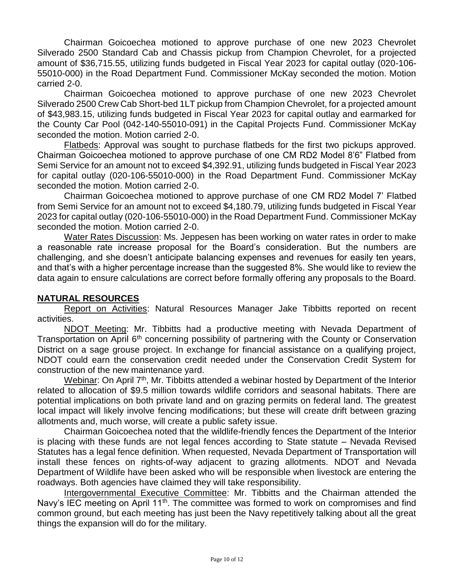Chairman Goicoechea motioned to approve purchase of one new 2023 Chevrolet Silverado 2500 Standard Cab and Chassis pickup from Champion Chevrolet, for a projected amount of \$36,715.55, utilizing funds budgeted in Fiscal Year 2023 for capital outlay (020-106- 55010-000) in the Road Department Fund. Commissioner McKay seconded the motion. Motion carried 2-0.

Chairman Goicoechea motioned to approve purchase of one new 2023 Chevrolet Silverado 2500 Crew Cab Short-bed 1LT pickup from Champion Chevrolet, for a projected amount of \$43,983.15, utilizing funds budgeted in Fiscal Year 2023 for capital outlay and earmarked for the County Car Pool (042-140-55010-091) in the Capital Projects Fund. Commissioner McKay seconded the motion. Motion carried 2-0.

Flatbeds: Approval was sought to purchase flatbeds for the first two pickups approved. Chairman Goicoechea motioned to approve purchase of one CM RD2 Model 8'6" Flatbed from Semi Service for an amount not to exceed \$4,392.91, utilizing funds budgeted in Fiscal Year 2023 for capital outlay (020-106-55010-000) in the Road Department Fund. Commissioner McKay seconded the motion. Motion carried 2-0.

Chairman Goicoechea motioned to approve purchase of one CM RD2 Model 7' Flatbed from Semi Service for an amount not to exceed \$4,180.79, utilizing funds budgeted in Fiscal Year 2023 for capital outlay (020-106-55010-000) in the Road Department Fund. Commissioner McKay seconded the motion. Motion carried 2-0.

Water Rates Discussion: Ms. Jeppesen has been working on water rates in order to make a reasonable rate increase proposal for the Board's consideration. But the numbers are challenging, and she doesn't anticipate balancing expenses and revenues for easily ten years, and that's with a higher percentage increase than the suggested 8%. She would like to review the data again to ensure calculations are correct before formally offering any proposals to the Board.

### **NATURAL RESOURCES**

Report on Activities: Natural Resources Manager Jake Tibbitts reported on recent activities.

NDOT Meeting: Mr. Tibbitts had a productive meeting with Nevada Department of Transportation on April 6<sup>th</sup> concerning possibility of partnering with the County or Conservation District on a sage grouse project. In exchange for financial assistance on a qualifying project, NDOT could earn the conservation credit needed under the Conservation Credit System for construction of the new maintenance yard.

Webinar: On April 7<sup>th</sup>, Mr. Tibbitts attended a webinar hosted by Department of the Interior related to allocation of \$9.5 million towards wildlife corridors and seasonal habitats. There are potential implications on both private land and on grazing permits on federal land. The greatest local impact will likely involve fencing modifications; but these will create drift between grazing allotments and, much worse, will create a public safety issue.

Chairman Goicoechea noted that the wildlife-friendly fences the Department of the Interior is placing with these funds are not legal fences according to State statute – Nevada Revised Statutes has a legal fence definition. When requested, Nevada Department of Transportation will install these fences on rights-of-way adjacent to grazing allotments. NDOT and Nevada Department of Wildlife have been asked who will be responsible when livestock are entering the roadways. Both agencies have claimed they will take responsibility.

Intergovernmental Executive Committee: Mr. Tibbitts and the Chairman attended the Navy's IEC meeting on April 11<sup>th</sup>. The committee was formed to work on compromises and find common ground, but each meeting has just been the Navy repetitively talking about all the great things the expansion will do for the military.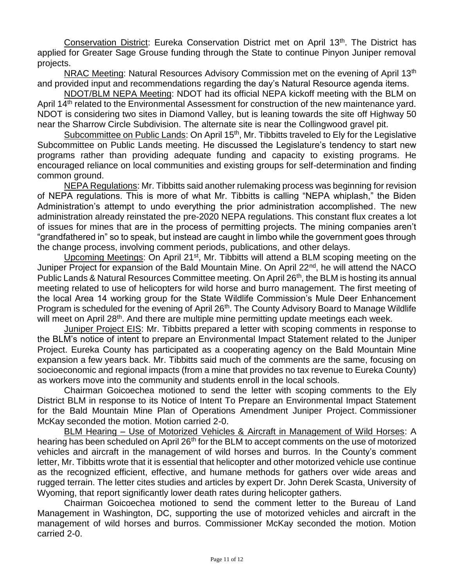Conservation District: Eureka Conservation District met on April 13<sup>th</sup>. The District has applied for Greater Sage Grouse funding through the State to continue Pinyon Juniper removal projects.

NRAC Meeting: Natural Resources Advisory Commission met on the evening of April 13<sup>th</sup> and provided input and recommendations regarding the day's Natural Resource agenda items.

NDOT/BLM NEPA Meeting: NDOT had its official NEPA kickoff meeting with the BLM on April 14<sup>th</sup> related to the Environmental Assessment for construction of the new maintenance yard. NDOT is considering two sites in Diamond Valley, but is leaning towards the site off Highway 50 near the Sharrow Circle Subdivision. The alternate site is near the Collingwood gravel pit.

Subcommittee on Public Lands: On April 15<sup>th</sup>, Mr. Tibbitts traveled to Ely for the Legislative Subcommittee on Public Lands meeting. He discussed the Legislature's tendency to start new programs rather than providing adequate funding and capacity to existing programs. He encouraged reliance on local communities and existing groups for self-determination and finding common ground.

NEPA Regulations: Mr. Tibbitts said another rulemaking process was beginning for revision of NEPA regulations. This is more of what Mr. Tibbitts is calling "NEPA whiplash," the Biden Administration's attempt to undo everything the prior administration accomplished. The new administration already reinstated the pre-2020 NEPA regulations. This constant flux creates a lot of issues for mines that are in the process of permitting projects. The mining companies aren't "grandfathered in" so to speak, but instead are caught in limbo while the government goes through the change process, involving comment periods, publications, and other delays.

Upcoming Meetings: On April 21<sup>st</sup>, Mr. Tibbitts will attend a BLM scoping meeting on the Juniper Project for expansion of the Bald Mountain Mine. On April 22<sup>nd</sup>, he will attend the NACO Public Lands & Natural Resources Committee meeting. On April 26<sup>th</sup>, the BLM is hosting its annual meeting related to use of helicopters for wild horse and burro management. The first meeting of the local Area 14 working group for the State Wildlife Commission's Mule Deer Enhancement Program is scheduled for the evening of April 26<sup>th</sup>. The County Advisory Board to Manage Wildlife will meet on April 28<sup>th</sup>. And there are multiple mine permitting update meetings each week.

Juniper Project EIS: Mr. Tibbitts prepared a letter with scoping comments in response to the BLM's notice of intent to prepare an Environmental Impact Statement related to the Juniper Project. Eureka County has participated as a cooperating agency on the Bald Mountain Mine expansion a few years back. Mr. Tibbitts said much of the comments are the same, focusing on socioeconomic and regional impacts (from a mine that provides no tax revenue to Eureka County) as workers move into the community and students enroll in the local schools.

Chairman Goicoechea motioned to send the letter with scoping comments to the Ely District BLM in response to its Notice of Intent To Prepare an Environmental Impact Statement for the Bald Mountain Mine Plan of Operations Amendment Juniper Project. Commissioner McKay seconded the motion. Motion carried 2-0.

BLM Hearing – Use of Motorized Vehicles & Aircraft in Management of Wild Horses: A hearing has been scheduled on April 26<sup>th</sup> for the BLM to accept comments on the use of motorized vehicles and aircraft in the management of wild horses and burros. In the County's comment letter, Mr. Tibbitts wrote that it is essential that helicopter and other motorized vehicle use continue as the recognized efficient, effective, and humane methods for gathers over wide areas and rugged terrain. The letter cites studies and articles by expert Dr. John Derek Scasta, University of Wyoming, that report significantly lower death rates during helicopter gathers.

Chairman Goicoechea motioned to send the comment letter to the Bureau of Land Management in Washington, DC, supporting the use of motorized vehicles and aircraft in the management of wild horses and burros. Commissioner McKay seconded the motion. Motion carried 2-0.